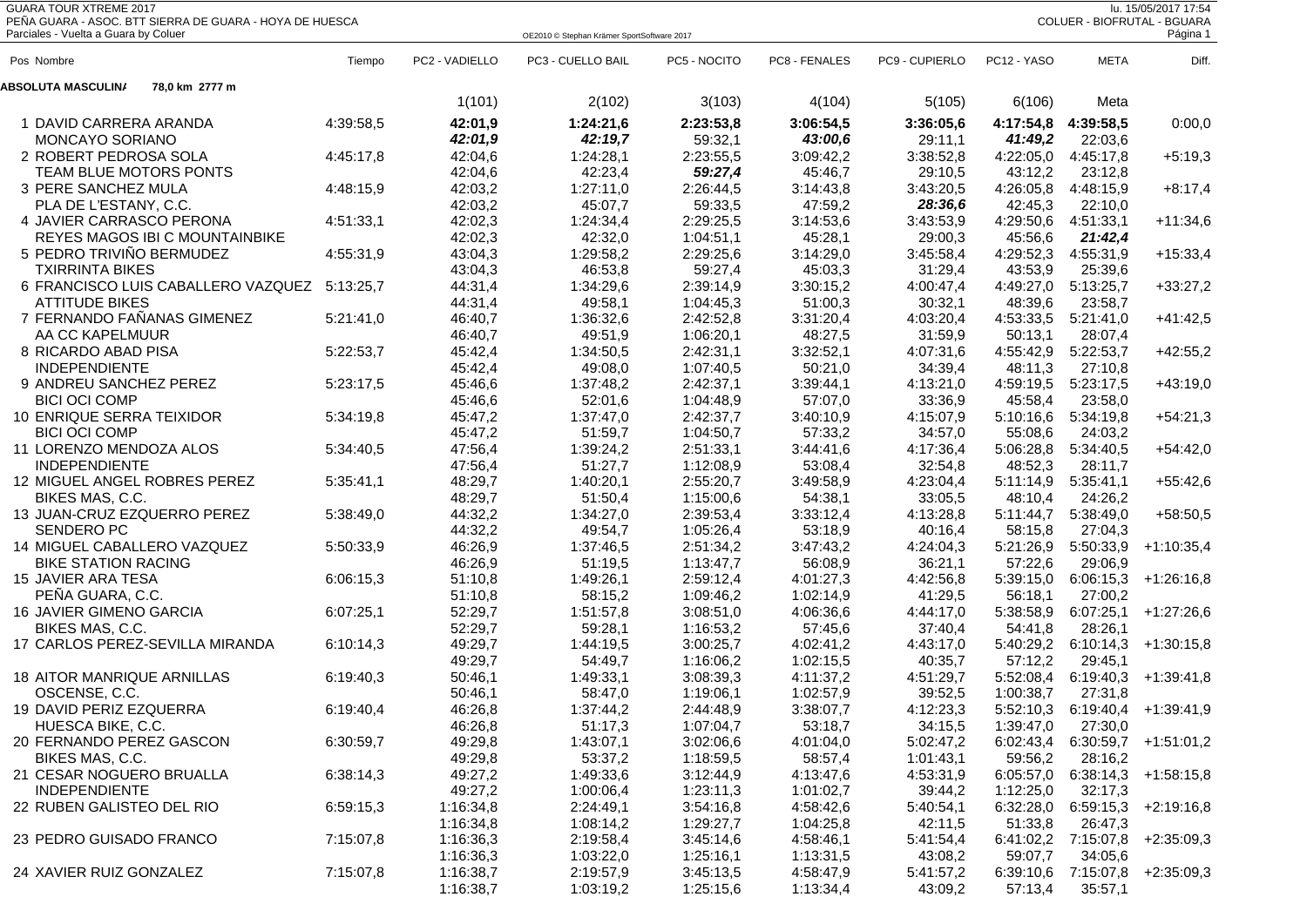| <b>GUARA TOUR XTREME 2017</b><br>lu. 15/05/2017 17:54<br>PEÑA GUARA - ASOC. BTT SIERRA DE GUARA - HOYA DE HUESCA<br>COLUER - BIOFRUTAL - BGUARA |           |                    |                                            |                        |                      |                      |                      |                      |                                |
|-------------------------------------------------------------------------------------------------------------------------------------------------|-----------|--------------------|--------------------------------------------|------------------------|----------------------|----------------------|----------------------|----------------------|--------------------------------|
| Parciales - Vuelta a Guara by Coluer                                                                                                            |           |                    | OE2010 © Stephan Krämer SportSoftware 2017 |                        |                      |                      |                      |                      | Página 1                       |
| Pos Nombre                                                                                                                                      | Tiempo    | PC2 - VADIELLO     | PC3 - CUELLO BAIL                          | PC5 - NOCITO           | PC8 - FENALES        | PC9 - CUPIERLO       | PC12 - YASO          | <b>META</b>          | Diff.                          |
| 78,0 km 2777 m<br><b>ABSOLUTA MASCULIN/</b>                                                                                                     |           |                    |                                            |                        |                      |                      |                      |                      |                                |
|                                                                                                                                                 |           | 1(101)             | 2(102)                                     | 3(103)                 | 4(104)               | 5(105)               | 6(106)               | Meta                 |                                |
| 1 DAVID CARRERA ARANDA                                                                                                                          | 4:39:58,5 | 42:01,9            | 1:24:21,6                                  | 2:23:53,8              | 3:06:54,5            | 3:36:05,6            | 4:17:54,8            | 4:39:58,5            | 0:00,0                         |
| <b>MONCAYO SORIANO</b>                                                                                                                          |           | 42:01,9            | 42:19,7                                    | 59:32,1                | 43:00,6              | 29:11,1              | 41:49,2              | 22:03,6              |                                |
| 2 ROBERT PEDROSA SOLA                                                                                                                           | 4:45:17,8 | 42:04,6            | 1:24:28,1                                  | 2:23:55,5              | 3:09:42,2            | 3:38:52,8            | 4:22:05,0            | 4:45:17,8            | $+5:19,3$                      |
| TEAM BLUE MOTORS PONTS                                                                                                                          |           | 42:04,6            | 42:23,4                                    | 59:27,4                | 45:46,7              | 29:10,5              | 43:12,2              | 23:12,8              |                                |
| 3 PERE SANCHEZ MULA                                                                                                                             | 4:48:15,9 | 42:03,2            | 1:27:11,0                                  | 2:26:44,5              | 3:14:43,8            | 3:43:20,5            | 4:26:05,8            | 4:48:15,9            | $+8:17,4$                      |
| PLA DE L'ESTANY, C.C.                                                                                                                           |           | 42:03,2            | 45:07,7                                    | 59:33,5                | 47:59,2              | 28:36,6              | 42:45,3              | 22:10,0              |                                |
| 4 JAVIER CARRASCO PERONA                                                                                                                        | 4:51:33,1 | 42:02,3            | 1:24:34,4                                  | 2:29:25,5              | 3:14:53,6            | 3:43:53,9            | 4:29:50,6            | 4:51:33,1            | $+11:34,6$                     |
| REYES MAGOS IBI C MOUNTAINBIKE                                                                                                                  |           | 42:02,3            | 42:32,0                                    | 1:04:51,1              | 45:28,1              | 29:00,3              | 45:56,6              | 21:42,4              |                                |
| 5 PEDRO TRIVIÑO BERMUDEZ                                                                                                                        | 4:55:31,9 | 43:04,3            | 1:29:58,2                                  | 2:29:25,6              | 3:14:29,0            | 3:45:58,4            | 4:29:52,3            | 4:55:31,9            | $+15:33,4$                     |
| <b>TXIRRINTA BIKES</b>                                                                                                                          |           | 43:04,3            | 46:53,8                                    | 59:27,4                | 45:03,3              | 31:29,4              | 43:53,9              | 25:39,6              |                                |
| 6 FRANCISCO LUIS CABALLERO VAZQUEZ                                                                                                              | 5:13:25,7 | 44:31,4            | 1:34:29,6                                  | 2:39:14,9              | 3:30:15,2            | 4:00:47,4            | 4:49:27,0            | 5:13:25,7            | $+33:27,2$                     |
| <b>ATTITUDE BIKES</b>                                                                                                                           |           | 44:31,4            | 49:58,1                                    | 1:04:45,3              | 51:00,3              | 30:32,1              | 48:39,6              | 23:58,7              |                                |
| 7 FERNANDO FAÑANAS GIMENEZ                                                                                                                      | 5:21:41,0 | 46:40,7            | 1:36:32,6                                  | 2:42:52,8              | 3:31:20,4            | 4:03:20,4            | 4:53:33,5            | 5:21:41,0            | $+41:42,5$                     |
| AA CC KAPELMUUR                                                                                                                                 |           | 46:40,7            | 49:51,9                                    | 1:06:20,1              | 48:27,5              | 31:59,9              | 50:13,1              | 28:07,4              |                                |
| 8 RICARDO ABAD PISA                                                                                                                             | 5:22:53,7 | 45:42,4            | 1:34:50,5                                  | 2:42:31,1              | 3:32:52,1            | 4:07:31,6            | 4:55:42,9            | 5:22:53,7            | $+42:55,2$                     |
| <b>INDEPENDIENTE</b>                                                                                                                            |           | 45:42,4            | 49:08,0                                    | 1:07:40,5              | 50:21,0              | 34:39,4              | 48:11,3              | 27:10,8              |                                |
| 9 ANDREU SANCHEZ PEREZ                                                                                                                          | 5:23:17,5 | 45:46,6            | 1:37:48,2                                  | 2:42:37,1              | 3:39:44,1            | 4:13:21,0            | 4:59:19,5            | 5:23:17,5            | $+43:19,0$                     |
| <b>BICI OCI COMP</b><br>10 ENRIQUE SERRA TEIXIDOR                                                                                               | 5:34:19,8 | 45:46,6<br>45:47,2 | 52:01,6<br>1:37:47,0                       | 1:04:48,9<br>2:42:37,7 | 57:07,0<br>3:40:10,9 | 33:36,9<br>4:15:07,9 | 45:58,4              | 23:58,0              |                                |
| <b>BICI OCI COMP</b>                                                                                                                            |           |                    | 51:59,7                                    |                        | 57:33,2              |                      | 5:10:16,6            | 5:34:19,8<br>24:03,2 | $+54:21,3$                     |
| 11 LORENZO MENDOZA ALOS                                                                                                                         |           | 45:47,2<br>47:56,4 |                                            | 1:04:50,7              | 3:44:41,6            | 34:57,0              | 55:08,6              |                      |                                |
| <b>INDEPENDIENTE</b>                                                                                                                            | 5:34:40,5 | 47:56,4            | 1:39:24,2<br>51:27,7                       | 2:51:33,1<br>1:12:08,9 | 53:08,4              | 4:17:36,4<br>32:54,8 | 5:06:28,8<br>48:52,3 | 5:34:40,5<br>28:11,7 | $+54:42,0$                     |
| 12 MIGUEL ANGEL ROBRES PEREZ                                                                                                                    | 5:35:41,1 | 48:29,7            | 1:40:20,1                                  | 2:55:20,7              | 3:49:58,9            | 4:23:04,4            | 5:11:14,9            | 5:35:41,1            | $+55:42,6$                     |
| BIKES MAS, C.C.                                                                                                                                 |           | 48:29,7            | 51:50,4                                    | 1:15:00,6              | 54:38,1              | 33:05,5              | 48:10,4              | 24:26,2              |                                |
| 13 JUAN-CRUZ EZQUERRO PEREZ                                                                                                                     | 5:38:49.0 | 44:32,2            | 1:34:27,0                                  | 2:39:53,4              | 3:33:12,4            | 4:13:28,8            | 5:11:44,7            | 5:38:49,0            | $+58:50,5$                     |
| <b>SENDERO PC</b>                                                                                                                               |           | 44:32,2            | 49:54,7                                    | 1:05:26,4              | 53:18,9              | 40:16,4              | 58:15,8              | 27:04,3              |                                |
| 14 MIGUEL CABALLERO VAZQUEZ                                                                                                                     | 5:50:33,9 | 46:26,9            | 1:37:46,5                                  | 2:51:34,2              | 3:47:43,2            | 4:24:04,3            | 5:21:26,9            | 5:50:33,9            | $+1:10:35,4$                   |
| <b>BIKE STATION RACING</b>                                                                                                                      |           | 46:26,9            | 51:19,5                                    | 1:13:47,7              | 56:08,9              | 36:21,1              | 57:22,6              | 29:06,9              |                                |
| 15 JAVIER ARA TESA                                                                                                                              | 6:06:15,3 | 51:10,8            | 1:49:26,1                                  | 2:59:12,4              | 4:01:27,3            | 4:42:56,8            | 5:39:15,0            | 6:06:15,3            | $+1:26:16,8$                   |
| PEÑA GUARA, C.C.                                                                                                                                |           | 51:10,8            | 58:15,2                                    | 1:09:46,2              | 1:02:14,9            | 41:29,5              | 56:18,1              | 27:00,2              |                                |
| 16 JAVIER GIMENO GARCIA                                                                                                                         | 6:07:25,1 | 52:29,7            | 1:51:57,8                                  | 3:08:51,0              | 4:06:36,6            | 4:44:17,0            | 5:38:58,9            | 6:07:25,1            | $+1:27:26,6$                   |
| BIKES MAS, C.C.                                                                                                                                 |           | 52:29,7            | 59:28,1                                    | 1:16:53,2              | 57:45,6              | 37:40,4              | 54:41,8              | 28:26,1              |                                |
| 17 CARLOS PEREZ-SEVILLA MIRANDA                                                                                                                 | 6:10:14,3 | 49:29,7            | 1:44:19,5                                  | 3:00:25,7              | 4:02:41,2            | 4:43:17,0            | 5:40:29,2            | 6:10:14,3            | $+1:30:15,8$                   |
|                                                                                                                                                 |           | 49:29,7            | 54:49,7                                    | 1:16:06,2              | 1:02:15,5            | 40:35,7              | 57:12,2              | 29:45.1              |                                |
| <b>18 AITOR MANRIQUE ARNILLAS</b>                                                                                                               | 6:19:40.3 | 50:46,1            | 1:49:33,1                                  | 3:08:39,3              | 4:11:37,2            | 4:51:29,7            | 5:52:08,4            | 6:19:40,3            | +1:39:41,8                     |
| OSCENSE, C.C.                                                                                                                                   |           | 50:46,1            | 58:47,0                                    | 1:19:06,1              | 1:02:57,9            | 39:52,5              | 1:00:38,7            | 27:31,8              |                                |
| 19 DAVID PERIZ EZQUERRA                                                                                                                         | 6:19:40,4 | 46:26,8            | 1:37:44,2                                  | 2:44:48,9              | 3:38:07,7            | 4:12:23,3            |                      |                      | 5:52:10,3 6:19:40,4 +1:39:41,9 |
| HUESCA BIKE, C.C.                                                                                                                               |           | 46:26,8            | 51:17,3                                    | 1:07:04,7              | 53:18,7              | 34:15,5              | 1:39:47,0            | 27:30,0              |                                |
| 20 FERNANDO PEREZ GASCON                                                                                                                        | 6:30:59,7 | 49:29,8            | 1:43:07,1                                  | 3:02:06,6              | 4:01:04,0            | 5:02:47,2            | 6:02:43,4            | 6:30:59,7            | +1:51:01,2                     |
| BIKES MAS, C.C.                                                                                                                                 |           | 49:29,8            | 53:37,2                                    | 1:18:59,5              | 58:57,4              | 1:01:43,1            | 59:56,2              | 28:16,2              |                                |
| 21 CESAR NOGUERO BRUALLA                                                                                                                        | 6:38:14,3 | 49:27,2            | 1:49:33,6                                  | 3:12:44,9              | 4:13:47,6            | 4:53:31,9            | 6:05:57,0            | 6:38:14,3            | $+1:58:15,8$                   |
| <b>INDEPENDIENTE</b>                                                                                                                            |           | 49:27,2            | 1:00:06,4                                  | 1:23:11,3              | 1:01:02,7            | 39:44,2              | 1:12:25,0            | 32:17,3              |                                |
| 22 RUBEN GALISTEO DEL RIO                                                                                                                       | 6:59:15,3 | 1:16:34,8          | 2:24:49,1                                  | 3:54:16,8              | 4:58:42,6            | 5:40:54,1            | 6:32:28,0            | 6:59:15,3            | +2:19:16,8                     |
|                                                                                                                                                 |           | 1:16:34,8          | 1:08:14,2                                  | 1:29:27,7              | 1:04:25,8            | 42:11,5              | 51:33,8              | 26:47,3              |                                |
| 23 PEDRO GUISADO FRANCO                                                                                                                         | 7:15:07,8 | 1:16:36,3          | 2:19:58,4                                  | 3:45:14,6              | 4:58:46,1            | 5:41:54,4            | 6:41:02,2            | 7:15:07,8            | +2:35:09,3                     |
|                                                                                                                                                 |           | 1:16:36,3          | 1:03:22,0                                  | 1:25:16,1              | 1:13:31,5            | 43:08,2              | 59:07,7              | 34:05,6              |                                |
| 24 XAVIER RUIZ GONZALEZ                                                                                                                         | 7:15:07,8 | 1:16:38,7          | 2:19:57,9                                  | 3:45:13,5              | 4:58:47,9            | 5:41:57,2            | 6:39:10,6            | 7:15:07,8            | $+2:35:09,3$                   |
|                                                                                                                                                 |           | 1:16:38,7          | 1:03:19,2                                  | 1:25:15,6              | 1:13:34,4            | 43:09,2              | 57:13,4              | 35:57,1              |                                |